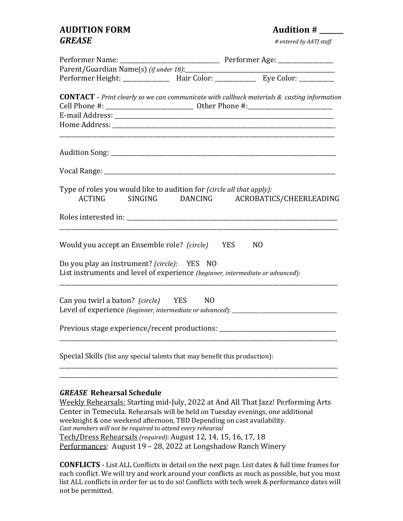# **AUDITION FORM AUDITION AUDITION GREASE** *# entered by AATJ staff*

| <b>CONTACT</b> - Print clearly so we can communicate with callback materials $\&$ casting information                           |            |                |  |
|---------------------------------------------------------------------------------------------------------------------------------|------------|----------------|--|
| Cell Phone #: __________________________________ Other Phone #:__________________                                               |            |                |  |
|                                                                                                                                 |            |                |  |
|                                                                                                                                 |            |                |  |
|                                                                                                                                 |            |                |  |
|                                                                                                                                 |            |                |  |
| Type of roles you would like to audition for <i>(circle all that apply)</i> :<br>ACTING SINGING DANCING ACROBATICS/CHEERLEADING |            |                |  |
|                                                                                                                                 |            |                |  |
| Would you accept an Ensemble role? (circle)                                                                                     | <b>YES</b> | N <sub>O</sub> |  |
| Do you play an instrument? (circle): YES NO<br>List instruments and level of experience (beginner, intermediate or advanced):   |            |                |  |
| Can you twirl a baton? (circle) YES NO<br>Level of experience (beginner, intermediate or advanced): _______________________     |            |                |  |
| Previous stage experience/recent productions: __________________________________                                                |            |                |  |
| Special Skills (list any special talents that may benefit this production):                                                     |            |                |  |
|                                                                                                                                 |            |                |  |

# *GREASE*  **Rehearsal Schedule**

Weekly Rehearsals: Starting mid-July, 2022 at And All That Jazz! Performing Arts Center in Temecula. Rehearsals will be held on Tuesday evenings, one additional weeknight & one weekend afternoon, TBD Depending on cast availability. *Cast members will not be required to attend every rehearsal* Tech/Dress Rehearsals *(required):* August 12, 14, 15, 16, 17, 18 Performances: August 19 - 28, 2022 at Longshadow Ranch Winery

**CONFLICTS** - List ALL Conflicts in detail on the next page. List dates & full time frames for each conflict. We will try and work around your conflicts as much as possible, but you must list ALL conflicts in order for us to do so! Conflicts with tech week & performance dates will not be permitted.